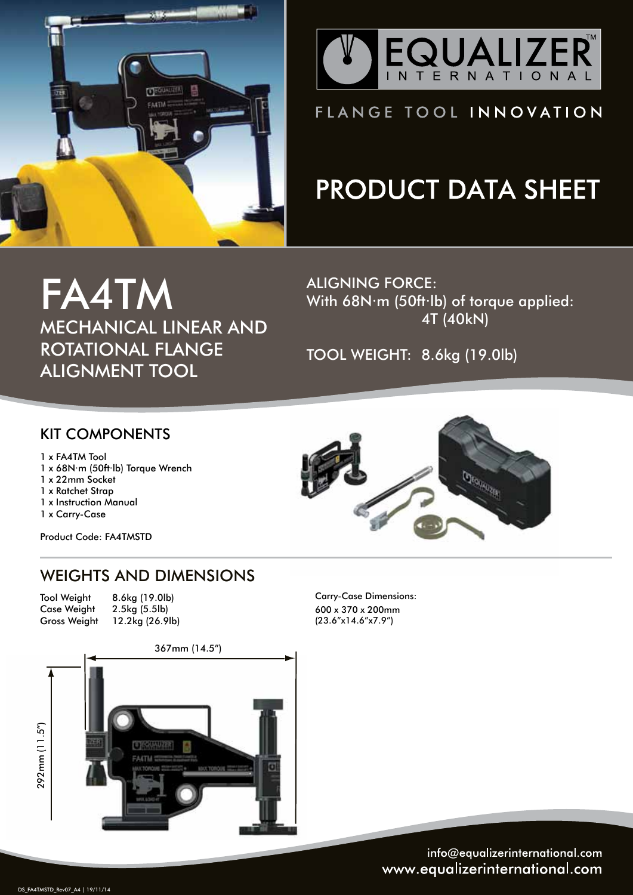



### FLANGE TOOL INNOVATION

# **PRODUCT DATA SHEET**

FA4TM MECHANICAL LINEAR AND ROTATIONAL FLANGE ALIGNMENT TOOL

ALIGNING FORCE: With 68N·m (50ft·lb) of torque applied: 4T (40kN)

TOOL WEIGHT: 8.6kg (19.0lb)

#### KIT COMPONENTS

1 x FA4TM Tool

- 1 x 68N·m (50ft·lb) Torque Wrench
- 1 x 22mm Socket
- 1 x Ratchet Strap
- 1 x Instruction Manual

1 x Carry-Case

Product Code: FA4TMSTD

### WEIGHTS AND DIMENSIONS

 Tool Weight Case Weight Gross Weight

8.6kg (19.0lb) 2.5kg (5.5lb) 12.2kg (26.9lb)



Carry-Case Dimensions: 600 x 370 x 200mm (23.6"x14.6"x7.9")



info@equalizerinternational.com www.equalizerinternational.com